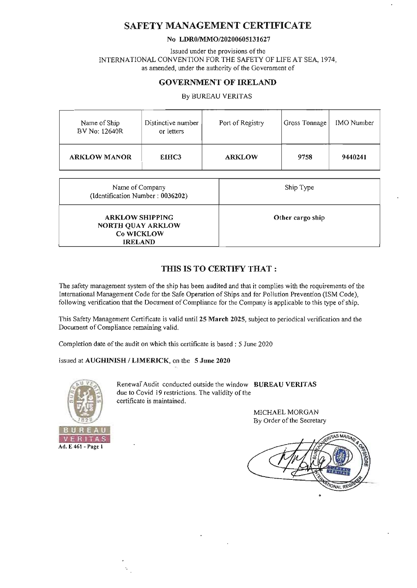## SAFETY MANAGEMENT CERTIFICATE

#### No LDR0/MMO/20200605131627

Issued under the provisions of the INTERNATIONAL CONVENTION FOR THE SAFETY OF LIFE AT SEA, 1974, as amended, under the authority of the Government of

### GOVERNMENT OF IRELAND

By BUREAU VERITAS

| Name of Ship<br>BV No: 12640R | Distinctive number<br>or letters | Port of Registry | Gross Tonnage | IMO Number |
|-------------------------------|----------------------------------|------------------|---------------|------------|
| <b>ARKLOW MANOR</b>           | EIHC3                            | <b>ARKLOW</b>    | 9758          | 9440241    |

| Name of Company<br>(Identification Number: 0036202)                         | Ship Type        |
|-----------------------------------------------------------------------------|------------------|
| <b>ARKLOW SHIPPING</b><br>NORTH QUAY ARKLOW<br>Co WICKLOW<br><b>IRELAND</b> | Other cargo ship |

### THIS IS TO CERTIFY THAT :

The safety management system of the ship has been audited and that it complies with the requirements of the International Management Code for the Safe Operation of Ships and for Pollution Prevention (ISM Code), following verification that the Document of Compliance for the Company is applicable to this type of ship.

This Safety Management Certificate is valid until 25 March 2025, subject to periodical verification and the Document of Compliance remaining valid.

Completion date of the audit on which this certificate is based: 5 June 2020

### Issued at AUGHINISH / LIMERICK, on the 5 June 2020



Renewal Audit conducted outside the window BUREAU VERITAS due to Covid 19 restrictions. The validity of the certificate is maintained.

> MICHAEL MORGAN By Order of the Secretary

**AS MA NONAL REG**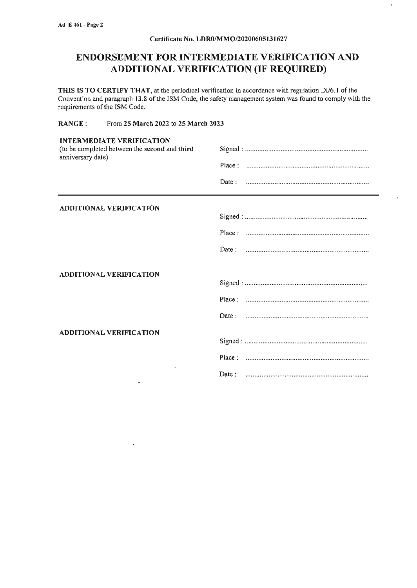#### Certificate No. LDR0/MMO/20200605131627

l,

# **ENDORSEMENT FOR INTERMEDIATE VERIFICATION AND ADDITIONAL VERIFICATION (IF REQUIRED)**

THIS IS TO CERTIFY THAT, at the periodical verification in accordance with regulation IX/6.1 of the Convention and paragraph 13.8 of the ISM Code, the safety management system was found to comply with the requirements of the ISM Code.

RANGE: From 25 March 2022 to 25 March 2023

 $\lambda$ 

| <b>INTERMEDIATE VERIFICATION</b><br>(to be completed between the second and third<br>anniversary date) |       |  |
|--------------------------------------------------------------------------------------------------------|-------|--|
|                                                                                                        |       |  |
|                                                                                                        |       |  |
| <b>ADDITIONAL VERIFICATION</b>                                                                         |       |  |
|                                                                                                        |       |  |
|                                                                                                        |       |  |
|                                                                                                        | Date: |  |
| <b>ADDITIONAL VERIFICATION</b>                                                                         |       |  |
|                                                                                                        |       |  |
|                                                                                                        |       |  |
|                                                                                                        |       |  |
| <b>ADDITIONAL VERIFICATION</b>                                                                         |       |  |
|                                                                                                        |       |  |
| ÷.,                                                                                                    |       |  |
| ولد                                                                                                    | Date: |  |